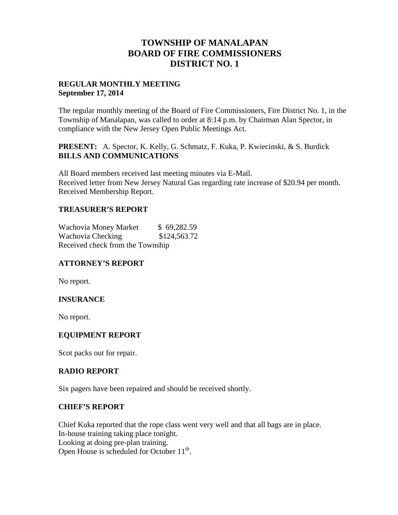# **TOWNSHIP OF MANALAPAN BOARD OF FIRE COMMISSIONERS DISTRICT NO. 1**

### **REGULAR MONTHLY MEETING September 17, 2014**

The regular monthly meeting of the Board of Fire Commissioners, Fire District No. 1, in the Township of Manalapan, was called to order at 8:14 p.m. by Chairman Alan Spector, in compliance with the New Jersey Open Public Meetings Act.

## **PRESENT:** A. Spector, K. Kelly, G. Schmatz, F. Kuka, P. Kwiecinski, & S. Burdick **BILLS AND COMMUNICATIONS**

All Board members received last meeting minutes via E-Mail. Received letter from New Jersey Natural Gas regarding rate increase of \$20.94 per month. Received Membership Report.

## **TREASURER'S REPORT**

Wachovia Money Market \$ 69,282.59 Wachovia Checking \$124,563.72 Received check from the Township

## **ATTORNEY'S REPORT**

No report.

## **INSURANCE**

No report.

## **EQUIPMENT REPORT**

Scot packs out for repair.

### **RADIO REPORT**

Six pagers have been repaired and should be received shortly.

### **CHIEF'S REPORT**

Chief Kuka reported that the rope class went very well and that all bags are in place. In-house training taking place tonight. Looking at doing pre-plan training. Open House is scheduled for October  $11<sup>th</sup>$ .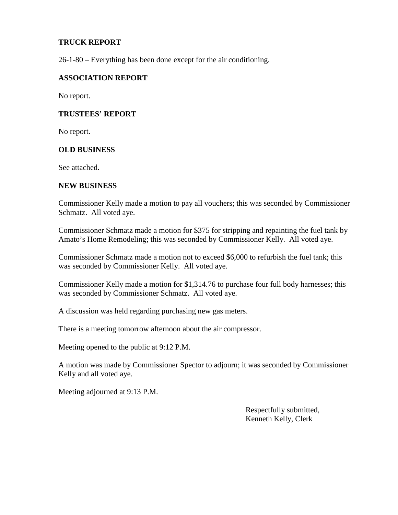### **TRUCK REPORT**

26-1-80 – Everything has been done except for the air conditioning.

#### **ASSOCIATION REPORT**

No report.

#### **TRUSTEES' REPORT**

No report.

#### **OLD BUSINESS**

See attached.

#### **NEW BUSINESS**

Commissioner Kelly made a motion to pay all vouchers; this was seconded by Commissioner Schmatz. All voted aye.

Commissioner Schmatz made a motion for \$375 for stripping and repainting the fuel tank by Amato's Home Remodeling; this was seconded by Commissioner Kelly. All voted aye.

Commissioner Schmatz made a motion not to exceed \$6,000 to refurbish the fuel tank; this was seconded by Commissioner Kelly. All voted aye.

Commissioner Kelly made a motion for \$1,314.76 to purchase four full body harnesses; this was seconded by Commissioner Schmatz. All voted aye.

A discussion was held regarding purchasing new gas meters.

There is a meeting tomorrow afternoon about the air compressor.

Meeting opened to the public at 9:12 P.M.

A motion was made by Commissioner Spector to adjourn; it was seconded by Commissioner Kelly and all voted aye.

Meeting adjourned at 9:13 P.M.

Respectfully submitted, Kenneth Kelly, Clerk